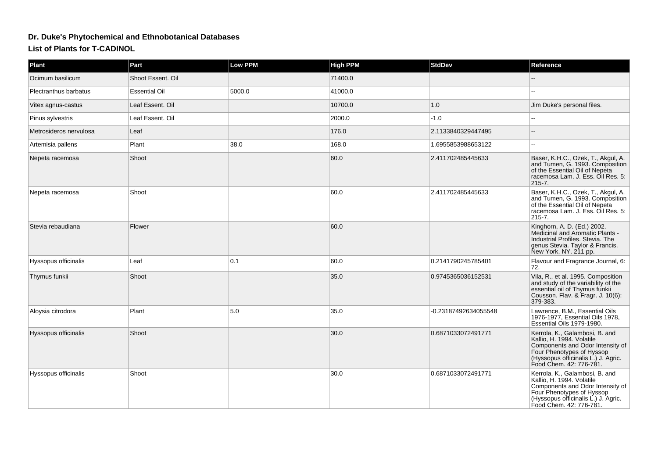## **Dr. Duke's Phytochemical and Ethnobotanical DatabasesList of Plants for T-CADINOL**

| <b>Plant</b>           | Part                 | <b>Low PPM</b> | <b>High PPM</b> | <b>StdDev</b>        | Reference                                                                                                                                                                                      |
|------------------------|----------------------|----------------|-----------------|----------------------|------------------------------------------------------------------------------------------------------------------------------------------------------------------------------------------------|
| Ocimum basilicum       | Shoot Essent, Oil    |                | 71400.0         |                      |                                                                                                                                                                                                |
| Plectranthus barbatus  | <b>Essential Oil</b> | 5000.0         | 41000.0         |                      |                                                                                                                                                                                                |
| Vitex agnus-castus     | Leaf Essent. Oil     |                | 10700.0         | 1.0                  | Jim Duke's personal files.                                                                                                                                                                     |
| Pinus sylvestris       | Leaf Essent. Oil     |                | 2000.0          | $-1.0$               |                                                                                                                                                                                                |
| Metrosideros nervulosa | Leaf                 |                | 176.0           | 2.1133840329447495   |                                                                                                                                                                                                |
| Artemisia pallens      | Plant                | 38.0           | 168.0           | 1.6955853988653122   | $\sim$                                                                                                                                                                                         |
| Nepeta racemosa        | Shoot                |                | 60.0            | 2.411702485445633    | Baser, K.H.C., Ozek, T., Akgul, A.<br>and Tumen, G. 1993. Composition<br>of the Essential Oil of Nepeta<br>racemosa Lam. J. Ess. Oil Res. 5:<br>$215 - 7.$                                     |
| Nepeta racemosa        | Shoot                |                | 60.0            | 2.411702485445633    | Baser, K.H.C., Ozek, T., Akgul, A.<br>and Tumen, G. 1993. Composition<br>of the Essential Oil of Nepeta<br>racemosa Lam. J. Ess. Oil Res. 5:<br>$215 - 7.$                                     |
| Stevia rebaudiana      | Flower               |                | 60.0            |                      | Kinghorn, A. D. (Ed.) 2002.<br>Medicinal and Aromatic Plants -<br>Industrial Profiles. Stevia. The<br>genus Stevia. Taylor & Francis.<br>New York, NY. 211 pp.                                 |
| Hyssopus officinalis   | Leaf                 | 0.1            | 60.0            | 0.2141790245785401   | Flavour and Fragrance Journal, 6:<br>72.                                                                                                                                                       |
| Thymus funkii          | Shoot                |                | 35.0            | 0.9745365036152531   | Vila, R., et al. 1995. Composition<br>and study of the variability of the<br>essential oil of Thymus funkii<br>Cousson. Flav. & Fragr. J. 10(6):<br>379-383.                                   |
| Aloysia citrodora      | Plant                | 5.0            | 35.0            | -0.23187492634055548 | Lawrence, B.M., Essential Oils<br>1976-1977, Essential Oils 1978,<br>Essential Oils 1979-1980.                                                                                                 |
| Hyssopus officinalis   | Shoot                |                | 30.0            | 0.6871033072491771   | Kerrola, K., Galambosi, B. and<br>Kallio, H. 1994. Volatile<br>Components and Odor Intensity of<br>Four Phenotypes of Hyssop<br>(Hyssopus officinalis L.) J. Agric.<br>Food Chem. 42: 776-781. |
| Hyssopus officinalis   | Shoot                |                | 30.0            | 0.6871033072491771   | Kerrola, K., Galambosi, B. and<br>Kallio, H. 1994. Volatile<br>Components and Odor Intensity of<br>Four Phenotypes of Hyssop<br>(Hyssopus officinalis L.) J. Agric.<br>Food Chem. 42: 776-781. |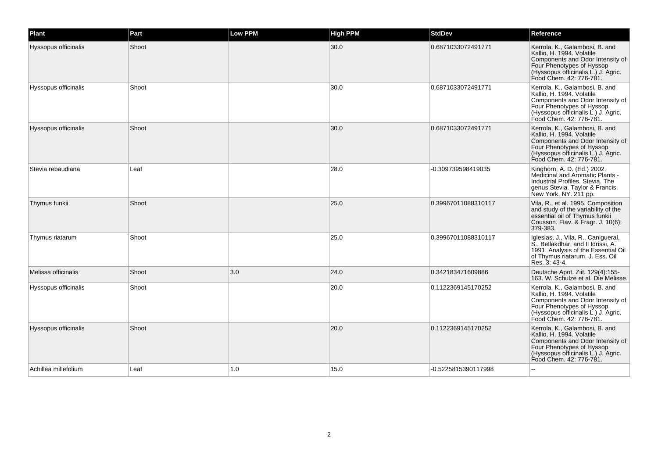| Plant                       | Part  | <b>Low PPM</b> | <b>High PPM</b> | <b>StdDev</b>       | Reference                                                                                                                                                                                      |
|-----------------------------|-------|----------------|-----------------|---------------------|------------------------------------------------------------------------------------------------------------------------------------------------------------------------------------------------|
| Hyssopus officinalis        | Shoot |                | 30.0            | 0.6871033072491771  | Kerrola, K., Galambosi, B. and<br>Kallio, H. 1994. Volatile<br>Components and Odor Intensity of<br>Four Phenotypes of Hyssop<br>(Hyssopus officinalis L.) J. Agric.<br>Food Chem. 42: 776-781. |
| Hyssopus officinalis        | Shoot |                | 30.0            | 0.6871033072491771  | Kerrola, K., Galambosi, B. and<br>Kallio, H. 1994. Volatile<br>Components and Odor Intensity of<br>Four Phenotypes of Hyssop<br>(Hyssopus officinalis L.) J. Agric.<br>Food Chem. 42: 776-781. |
| <b>Hyssopus officinalis</b> | Shoot |                | 30.0            | 0.6871033072491771  | Kerrola, K., Galambosi, B. and<br>Kallio, H. 1994. Volatile<br>Components and Odor Intensity of<br>Four Phenotypes of Hyssop<br>(Hyssopus officinalis L.) J. Agric.<br>Food Chem. 42: 776-781. |
| Stevia rebaudiana           | Leaf  |                | 28.0            | -0.309739598419035  | Kinghorn, A. D. (Ed.) 2002.<br>Medicinal and Aromatic Plants -<br>Industrial Profiles, Stevia, The<br>genus Stevia. Taylor & Francis.<br>New York, NY. 211 pp.                                 |
| Thymus funkii               | Shoot |                | 25.0            | 0.39967011088310117 | Vila, R., et al. 1995. Composition<br>and study of the variability of the<br>essential oil of Thymus funkii<br>Cousson. Flav. & Fragr. J. 10(6):<br>379-383.                                   |
| Thymus riatarum             | Shoot |                | 25.0            | 0.39967011088310117 | Iglesias, J., Vila, R., Canigueral,<br>S., Bellakdhar, and II Idrissi, A.<br>1991. Analysis of the Essential Oil<br>of Thymus riatarum. J. Ess. Oil<br>Res. 3: 43-4.                           |
| Melissa officinalis         | Shoot | 3.0            | 24.0            | 0.342183471609886   | Deutsche Apot. Ziit. 129(4):155-<br>163. W. Schulze et al. Die Melisse.                                                                                                                        |
| Hyssopus officinalis        | Shoot |                | 20.0            | 0.1122369145170252  | Kerrola, K., Galambosi, B. and<br>Kallio, H. 1994. Volatile<br>Components and Odor Intensity of<br>Four Phenotypes of Hyssop<br>(Hyssopus officinalis L.) J. Agric.<br>Food Chem. 42: 776-781. |
| Hyssopus officinalis        | Shoot |                | 20.0            | 0.1122369145170252  | Kerrola, K., Galambosi, B. and<br>Kallio, H. 1994. Volatile<br>Components and Odor Intensity of<br>Four Phenotypes of Hyssop<br>(Hyssopus officinalis L.) J. Agric.<br>Food Chem. 42: 776-781. |
| Achillea millefolium        | Leaf  | 1.0            | 15.0            | -0.5225815390117998 |                                                                                                                                                                                                |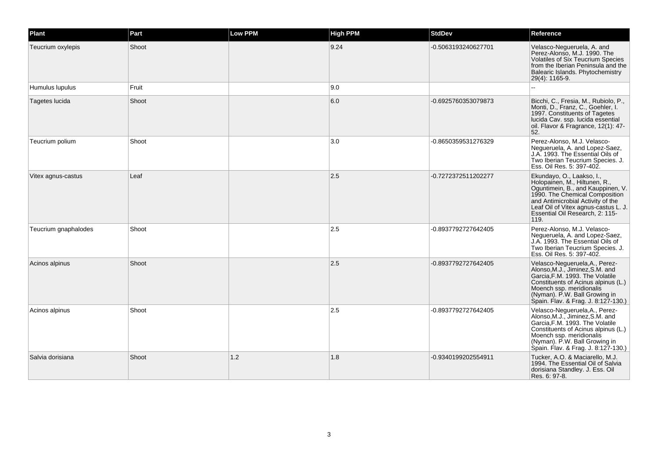| Plant                | Part  | <b>Low PPM</b> | <b>High PPM</b> | <b>StdDev</b>       | Reference                                                                                                                                                                                                                                                 |
|----------------------|-------|----------------|-----------------|---------------------|-----------------------------------------------------------------------------------------------------------------------------------------------------------------------------------------------------------------------------------------------------------|
| Teucrium oxylepis    | Shoot |                | 9.24            | -0.5063193240627701 | Velasco-Negueruela, A. and<br>Perez-Alonso, M.J. 1990. The<br><b>Volatiles of Six Teucrium Species</b><br>from the Iberian Peninsula and the<br>Balearic Islands. Phytochemistry<br>29(4): 1165-9.                                                        |
| Humulus lupulus      | Fruit |                | 9.0             |                     |                                                                                                                                                                                                                                                           |
| Tagetes lucida       | Shoot |                | 6.0             | -0.6925760353079873 | Bicchi, C., Fresia, M., Rubiolo, P.,<br>Monti, D., Franz, C., Goehler, I.<br>1997. Constituents of Tagetes<br>lucida Cav. ssp. lucida essential<br>oil. Flavor & Fragrance, 12(1): 47-<br>52.                                                             |
| Teucrium polium      | Shoot |                | 3.0             | -0.8650359531276329 | Perez-Alonso, M.J. Velasco-<br>Negueruela, A. and Lopez-Saez,<br>J.A. 1993. The Essential Oils of<br>Two Iberian Teucrium Species. J.<br>Ess. Oil Res. 5: 397-402.                                                                                        |
| Vitex agnus-castus   | Leaf  |                | 2.5             | -0.7272372511202277 | Ekundayo, O., Laakso, I.,<br>Holopainen, M., Hiltunen, R.,<br>Oguntimein, B., and Kauppinen, V.<br>1990. The Chemical Composition<br>and Antimicrobial Activity of the<br>Leaf Oil of Vitex agnus-castus L. J.<br>Essential Oil Research, 2: 115-<br>119. |
| Teucrium gnaphalodes | Shoot |                | 2.5             | -0.8937792727642405 | Perez-Alonso, M.J. Velasco-<br>Negueruela, A. and Lopez-Saez,<br>J.A. 1993. The Essential Oils of<br>Two Iberian Teucrium Species. J.<br>Ess. Oil Res. 5: 397-402.                                                                                        |
| Acinos alpinus       | Shoot |                | 2.5             | -0.8937792727642405 | Velasco-Negueruela, A., Perez-<br>Alonso, M.J., Jiminez, S.M. and<br>Garcia.F.M. 1993. The Volatile<br>Constituents of Acinus alpinus (L.)<br>Moench ssp. meridionalis<br>(Nyman). P.W. Ball Growing in<br>Spain. Flav. & Frag. J. 8:127-130.)            |
| Acinos alpinus       | Shoot |                | 2.5             | -0.8937792727642405 | Velasco-Negueruela, A., Perez-<br>Alonso, M.J., Jiminez, S.M. and<br>Garcia.F.M. 1993. The Volatile<br>Constituents of Acinus alpinus (L.)<br>Moench ssp. meridionalis<br>(Nyman). P.W. Ball Growing in<br>Spain. Flav. & Frag. J. 8:127-130.)            |
| Salvia dorisiana     | Shoot | 1.2            | 1.8             | -0.9340199202554911 | Tucker, A.O. & Maciarello, M.J.<br>1994. The Essential Oil of Salvia<br>dorisiana Standley. J. Ess. Oil<br>Res. 6: 97-8.                                                                                                                                  |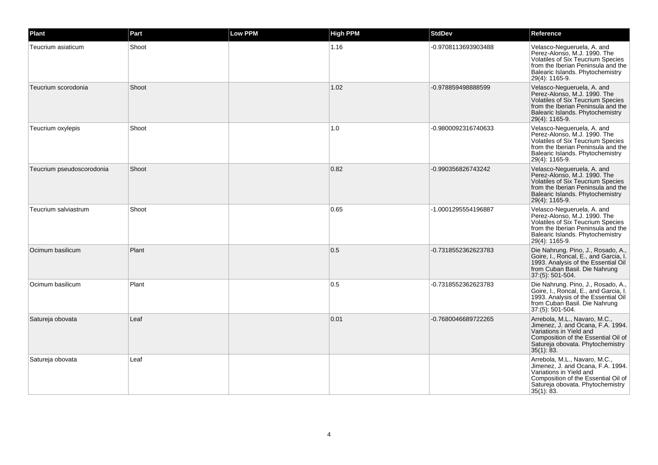| Plant                     | Part  | <b>Low PPM</b> | <b>High PPM</b> | <b>StdDev</b>       | Reference                                                                                                                                                                                          |
|---------------------------|-------|----------------|-----------------|---------------------|----------------------------------------------------------------------------------------------------------------------------------------------------------------------------------------------------|
| Teucrium asiaticum        | Shoot |                | 1.16            | -0.9708113693903488 | Velasco-Negueruela, A. and<br>Perez-Alonso, M.J. 1990. The<br>Volatiles of Six Teucrium Species<br>from the Iberian Peninsula and the<br>Balearic Islands. Phytochemistry<br>29(4): 1165-9.        |
| Teucrium scorodonia       | Shoot |                | 1.02            | -0.978859498888599  | Velasco-Negueruela, A. and<br>Perez-Alonso, M.J. 1990. The<br>Volatiles of Six Teucrium Species<br>from the Iberian Peninsula and the<br>Balearic Islands. Phytochemistry<br>29(4): 1165-9.        |
| Teucrium oxylepis         | Shoot |                | 1.0             | -0.9800092316740633 | Velasco-Negueruela, A. and<br>Perez-Alonso, M.J. 1990. The<br>Volatiles of Six Teucrium Species<br>from the Iberian Peninsula and the<br>Balearic Islands. Phytochemistry<br>29(4): 1165-9.        |
| Teucrium pseudoscorodonia | Shoot |                | 0.82            | -0.990356826743242  | Velasco-Negueruela, A. and<br>Perez-Alonso, M.J. 1990. The<br><b>Volatiles of Six Teucrium Species</b><br>from the Iberian Peninsula and the<br>Balearic Islands. Phytochemistry<br>29(4): 1165-9. |
| Teucrium salviastrum      | Shoot |                | 0.65            | -1.0001295554196887 | Velasco-Nequeruela, A. and<br>Perez-Alonso, M.J. 1990. The<br><b>Volatiles of Six Teucrium Species</b><br>from the Iberian Peninsula and the<br>Balearic Islands. Phytochemistry<br>29(4): 1165-9. |
| Ocimum basilicum          | Plant |                | 0.5             | -0.7318552362623783 | Die Nahrung. Pino, J., Rosado, A.,<br>Goire, I., Roncal, E., and Garcia, I.<br>1993. Analysis of the Essential Oil<br>from Cuban Basil. Die Nahrung<br>37:(5): 501-504.                            |
| Ocimum basilicum          | Plant |                | 0.5             | -0.7318552362623783 | Die Nahrung. Pino, J., Rosado, A.,<br>Goire, I., Roncal, E., and Garcia, I.<br>1993. Analysis of the Essential Oil<br>from Cuban Basil. Die Nahrung<br>37:(5): 501-504.                            |
| Satureja obovata          | Leaf  |                | 0.01            | -0.7680046689722265 | Arrebola, M.L., Navaro, M.C.,<br>Jimenez, J. and Ocana, F.A. 1994.<br>Variations in Yield and<br>Composition of the Essential Oil of<br>Satureja obovata. Phytochemistry<br>$35(1)$ : 83.          |
| Satureja obovata          | Leaf  |                |                 |                     | Arrebola, M.L., Navaro, M.C.,<br>Jimenez, J. and Ocana, F.A. 1994.<br>Variations in Yield and<br>Composition of the Essential Oil of<br>Satureja obovata. Phytochemistry<br>35(1): 83.             |